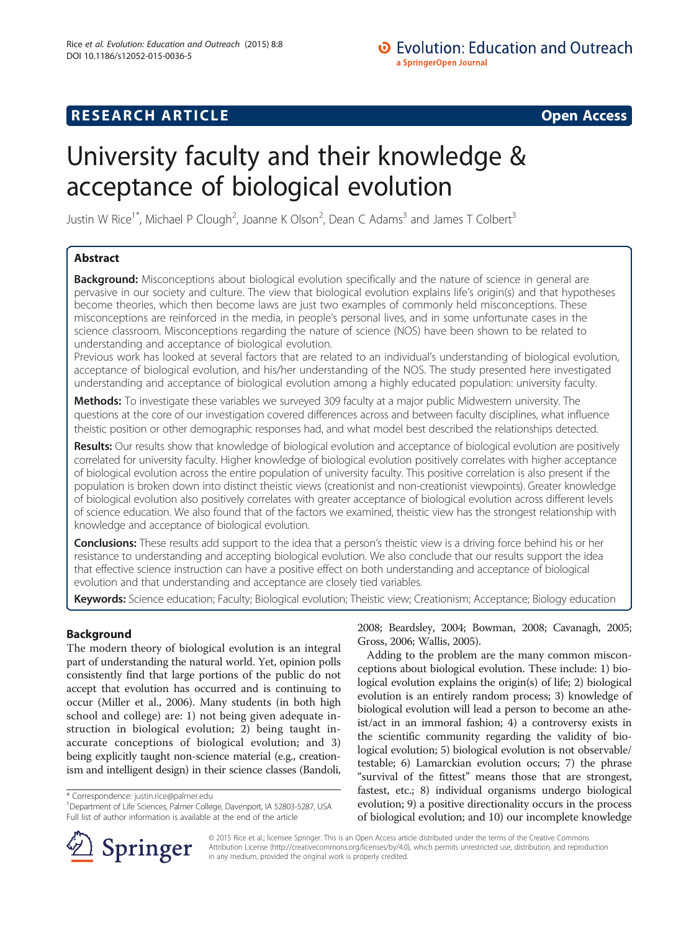# **RESEARCH ARTICLE Example 2014 CONSIDERING A RESEARCH ARTICLE**

# University faculty and their knowledge & acceptance of biological evolution

Justin W Rice<sup>1\*</sup>, Michael P Clough<sup>2</sup>, Joanne K Olson<sup>2</sup>, Dean C Adams<sup>3</sup> and James T Colbert<sup>3</sup>

# Abstract

**Background:** Misconceptions about biological evolution specifically and the nature of science in general are pervasive in our society and culture. The view that biological evolution explains life's origin(s) and that hypotheses become theories, which then become laws are just two examples of commonly held misconceptions. These misconceptions are reinforced in the media, in people's personal lives, and in some unfortunate cases in the science classroom. Misconceptions regarding the nature of science (NOS) have been shown to be related to understanding and acceptance of biological evolution.

Previous work has looked at several factors that are related to an individual's understanding of biological evolution, acceptance of biological evolution, and his/her understanding of the NOS. The study presented here investigated understanding and acceptance of biological evolution among a highly educated population: university faculty.

Methods: To investigate these variables we surveyed 309 faculty at a major public Midwestern university. The questions at the core of our investigation covered differences across and between faculty disciplines, what influence theistic position or other demographic responses had, and what model best described the relationships detected.

Results: Our results show that knowledge of biological evolution and acceptance of biological evolution are positively correlated for university faculty. Higher knowledge of biological evolution positively correlates with higher acceptance of biological evolution across the entire population of university faculty. This positive correlation is also present if the population is broken down into distinct theistic views (creationist and non-creationist viewpoints). Greater knowledge of biological evolution also positively correlates with greater acceptance of biological evolution across different levels of science education. We also found that of the factors we examined, theistic view has the strongest relationship with knowledge and acceptance of biological evolution.

**Conclusions:** These results add support to the idea that a person's theistic view is a driving force behind his or her resistance to understanding and accepting biological evolution. We also conclude that our results support the idea that effective science instruction can have a positive effect on both understanding and acceptance of biological evolution and that understanding and acceptance are closely tied variables.

Keywords: Science education; Faculty; Biological evolution; Theistic view; Creationism; Acceptance; Biology education

# Background

The modern theory of biological evolution is an integral part of understanding the natural world. Yet, opinion polls consistently find that large portions of the public do not accept that evolution has occurred and is continuing to occur (Miller et al., [2006\)](#page-13-0). Many students (in both high school and college) are: 1) not being given adequate instruction in biological evolution; 2) being taught inaccurate conceptions of biological evolution; and 3) being explicitly taught non-science material (e.g., creationism and intelligent design) in their science classes (Bandoli,

\* Correspondence: [justin.rice@palmer.edu](mailto:justin.rice@palmer.edu) <sup>1</sup>



Adding to the problem are the many common misconceptions about biological evolution. These include: 1) biological evolution explains the origin(s) of life; 2) biological evolution is an entirely random process; 3) knowledge of biological evolution will lead a person to become an atheist/act in an immoral fashion; 4) a controversy exists in the scientific community regarding the validity of biological evolution; 5) biological evolution is not observable/ testable; 6) Lamarckian evolution occurs; 7) the phrase "survival of the fittest" means those that are strongest, fastest, etc.; 8) individual organisms undergo biological evolution; 9) a positive directionality occurs in the process of biological evolution; and 10) our incomplete knowledge



© 2015 Rice et al.; licensee Springer. This is an Open Access article distributed under the terms of the Creative Commons Attribution License [\(http://creativecommons.org/licenses/by/4.0\)](http://creativecommons.org/licenses/by/4.0), which permits unrestricted use, distribution, and reproduction in any medium, provided the original work is properly credited.

<sup>&</sup>lt;sup>1</sup>Department of Life Sciences, Palmer College, Davenport, IA 52803-5287, USA Full list of author information is available at the end of the article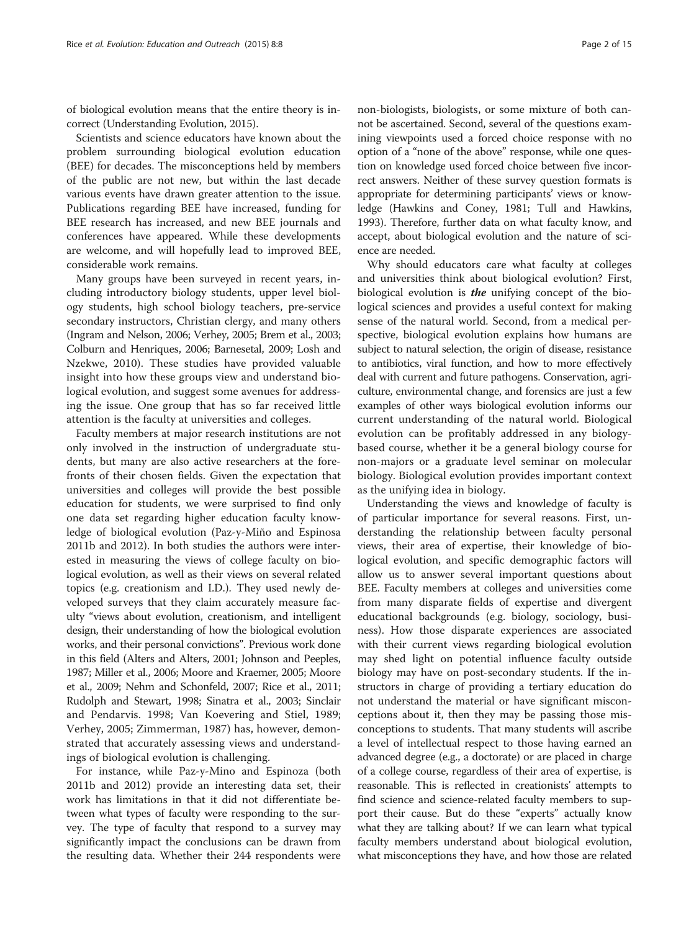of biological evolution means that the entire theory is incorrect (Understanding Evolution, [2015\)](#page-14-0).

Scientists and science educators have known about the problem surrounding biological evolution education (BEE) for decades. The misconceptions held by members of the public are not new, but within the last decade various events have drawn greater attention to the issue. Publications regarding BEE have increased, funding for BEE research has increased, and new BEE journals and conferences have appeared. While these developments are welcome, and will hopefully lead to improved BEE, considerable work remains.

Many groups have been surveyed in recent years, including introductory biology students, upper level biology students, high school biology teachers, pre-service secondary instructors, Christian clergy, and many others (Ingram and Nelson, [2006](#page-13-0); Verhey, [2005;](#page-14-0) Brem et al., [2003](#page-13-0); Colburn and Henriques, [2006;](#page-13-0) Barnesetal, [2009;](#page-13-0) Losh and Nzekwe, [2010\)](#page-13-0). These studies have provided valuable insight into how these groups view and understand biological evolution, and suggest some avenues for addressing the issue. One group that has so far received little attention is the faculty at universities and colleges.

Faculty members at major research institutions are not only involved in the instruction of undergraduate students, but many are also active researchers at the forefronts of their chosen fields. Given the expectation that universities and colleges will provide the best possible education for students, we were surprised to find only one data set regarding higher education faculty knowledge of biological evolution (Paz-y-Miño and Espinosa [2011](#page-13-0)b and [2012](#page-13-0)). In both studies the authors were interested in measuring the views of college faculty on biological evolution, as well as their views on several related topics (e.g. creationism and I.D.). They used newly developed surveys that they claim accurately measure faculty "views about evolution, creationism, and intelligent design, their understanding of how the biological evolution works, and their personal convictions". Previous work done in this field (Alters and Alters, [2001;](#page-13-0) Johnson and Peeples, [1987;](#page-13-0) Miller et al., [2006;](#page-13-0) Moore and Kraemer, [2005;](#page-13-0) Moore et al., [2009](#page-13-0); Nehm and Schonfeld, [2007;](#page-13-0) Rice et al., [2011](#page-14-0); Rudolph and Stewart, [1998;](#page-14-0) Sinatra et al., [2003](#page-14-0); Sinclair and Pendarvis. [1998](#page-14-0); Van Koevering and Stiel, [1989](#page-14-0); Verhey, [2005](#page-14-0); Zimmerman, [1987](#page-14-0)) has, however, demonstrated that accurately assessing views and understandings of biological evolution is challenging.

For instance, while Paz-y-Mino and Espinoza (both [2011b](#page-13-0) and [2012](#page-13-0)) provide an interesting data set, their work has limitations in that it did not differentiate between what types of faculty were responding to the survey. The type of faculty that respond to a survey may significantly impact the conclusions can be drawn from the resulting data. Whether their 244 respondents were

non-biologists, biologists, or some mixture of both cannot be ascertained. Second, several of the questions examining viewpoints used a forced choice response with no option of a "none of the above" response, while one question on knowledge used forced choice between five incorrect answers. Neither of these survey question formats is appropriate for determining participants' views or knowledge (Hawkins and Coney, [1981;](#page-13-0) Tull and Hawkins, [1993\)](#page-14-0). Therefore, further data on what faculty know, and accept, about biological evolution and the nature of science are needed.

Why should educators care what faculty at colleges and universities think about biological evolution? First, biological evolution is **the** unifying concept of the biological sciences and provides a useful context for making sense of the natural world. Second, from a medical perspective, biological evolution explains how humans are subject to natural selection, the origin of disease, resistance to antibiotics, viral function, and how to more effectively deal with current and future pathogens. Conservation, agriculture, environmental change, and forensics are just a few examples of other ways biological evolution informs our current understanding of the natural world. Biological evolution can be profitably addressed in any biologybased course, whether it be a general biology course for non-majors or a graduate level seminar on molecular biology. Biological evolution provides important context as the unifying idea in biology.

Understanding the views and knowledge of faculty is of particular importance for several reasons. First, understanding the relationship between faculty personal views, their area of expertise, their knowledge of biological evolution, and specific demographic factors will allow us to answer several important questions about BEE. Faculty members at colleges and universities come from many disparate fields of expertise and divergent educational backgrounds (e.g. biology, sociology, business). How those disparate experiences are associated with their current views regarding biological evolution may shed light on potential influence faculty outside biology may have on post-secondary students. If the instructors in charge of providing a tertiary education do not understand the material or have significant misconceptions about it, then they may be passing those misconceptions to students. That many students will ascribe a level of intellectual respect to those having earned an advanced degree (e.g., a doctorate) or are placed in charge of a college course, regardless of their area of expertise, is reasonable. This is reflected in creationists' attempts to find science and science-related faculty members to support their cause. But do these "experts" actually know what they are talking about? If we can learn what typical faculty members understand about biological evolution, what misconceptions they have, and how those are related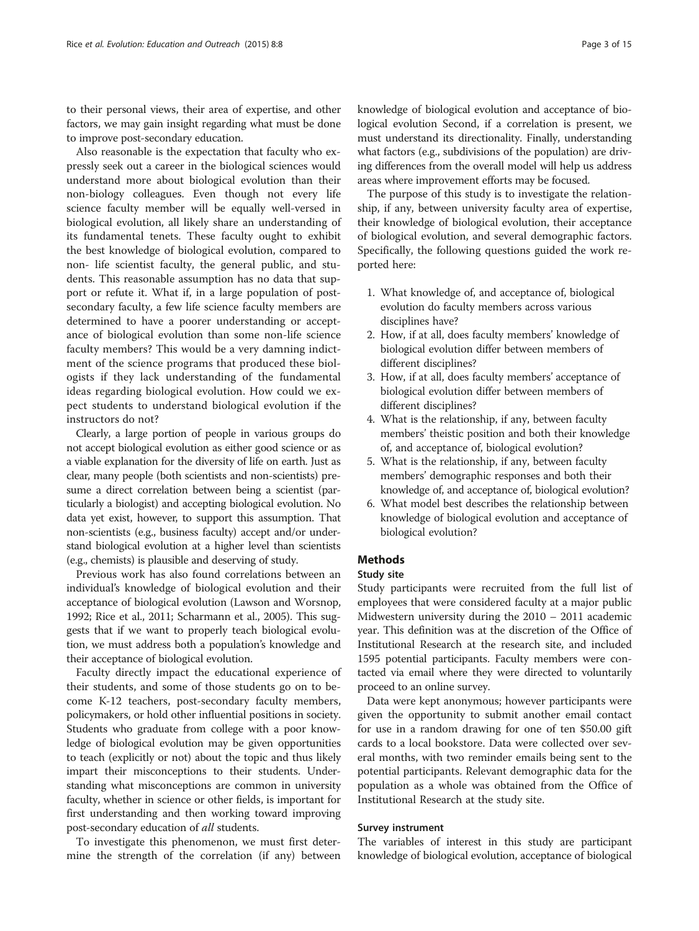to their personal views, their area of expertise, and other factors, we may gain insight regarding what must be done to improve post-secondary education.

Also reasonable is the expectation that faculty who expressly seek out a career in the biological sciences would understand more about biological evolution than their non-biology colleagues. Even though not every life science faculty member will be equally well-versed in biological evolution, all likely share an understanding of its fundamental tenets. These faculty ought to exhibit the best knowledge of biological evolution, compared to non- life scientist faculty, the general public, and students. This reasonable assumption has no data that support or refute it. What if, in a large population of postsecondary faculty, a few life science faculty members are determined to have a poorer understanding or acceptance of biological evolution than some non-life science faculty members? This would be a very damning indictment of the science programs that produced these biologists if they lack understanding of the fundamental ideas regarding biological evolution. How could we expect students to understand biological evolution if the instructors do not?

Clearly, a large portion of people in various groups do not accept biological evolution as either good science or as a viable explanation for the diversity of life on earth. Just as clear, many people (both scientists and non-scientists) presume a direct correlation between being a scientist (particularly a biologist) and accepting biological evolution. No data yet exist, however, to support this assumption. That non-scientists (e.g., business faculty) accept and/or understand biological evolution at a higher level than scientists (e.g., chemists) is plausible and deserving of study.

Previous work has also found correlations between an individual's knowledge of biological evolution and their acceptance of biological evolution (Lawson and Worsnop, [1992;](#page-13-0) Rice et al., [2011;](#page-14-0) Scharmann et al., [2005](#page-14-0)). This suggests that if we want to properly teach biological evolution, we must address both a population's knowledge and their acceptance of biological evolution.

Faculty directly impact the educational experience of their students, and some of those students go on to become K-12 teachers, post-secondary faculty members, policymakers, or hold other influential positions in society. Students who graduate from college with a poor knowledge of biological evolution may be given opportunities to teach (explicitly or not) about the topic and thus likely impart their misconceptions to their students. Understanding what misconceptions are common in university faculty, whether in science or other fields, is important for first understanding and then working toward improving post-secondary education of all students.

To investigate this phenomenon, we must first determine the strength of the correlation (if any) between

knowledge of biological evolution and acceptance of biological evolution Second, if a correlation is present, we must understand its directionality. Finally, understanding what factors (e.g., subdivisions of the population) are driving differences from the overall model will help us address areas where improvement efforts may be focused.

The purpose of this study is to investigate the relationship, if any, between university faculty area of expertise, their knowledge of biological evolution, their acceptance of biological evolution, and several demographic factors. Specifically, the following questions guided the work reported here:

- 1. What knowledge of, and acceptance of, biological evolution do faculty members across various disciplines have?
- 2. How, if at all, does faculty members' knowledge of biological evolution differ between members of different disciplines?
- 3. How, if at all, does faculty members' acceptance of biological evolution differ between members of different disciplines?
- 4. What is the relationship, if any, between faculty members' theistic position and both their knowledge of, and acceptance of, biological evolution?
- 5. What is the relationship, if any, between faculty members' demographic responses and both their knowledge of, and acceptance of, biological evolution?
- 6. What model best describes the relationship between knowledge of biological evolution and acceptance of biological evolution?

# **Methods**

# Study site

Study participants were recruited from the full list of employees that were considered faculty at a major public Midwestern university during the 2010 – 2011 academic year. This definition was at the discretion of the Office of Institutional Research at the research site, and included 1595 potential participants. Faculty members were contacted via email where they were directed to voluntarily proceed to an online survey.

Data were kept anonymous; however participants were given the opportunity to submit another email contact for use in a random drawing for one of ten \$50.00 gift cards to a local bookstore. Data were collected over several months, with two reminder emails being sent to the potential participants. Relevant demographic data for the population as a whole was obtained from the Office of Institutional Research at the study site.

# Survey instrument

The variables of interest in this study are participant knowledge of biological evolution, acceptance of biological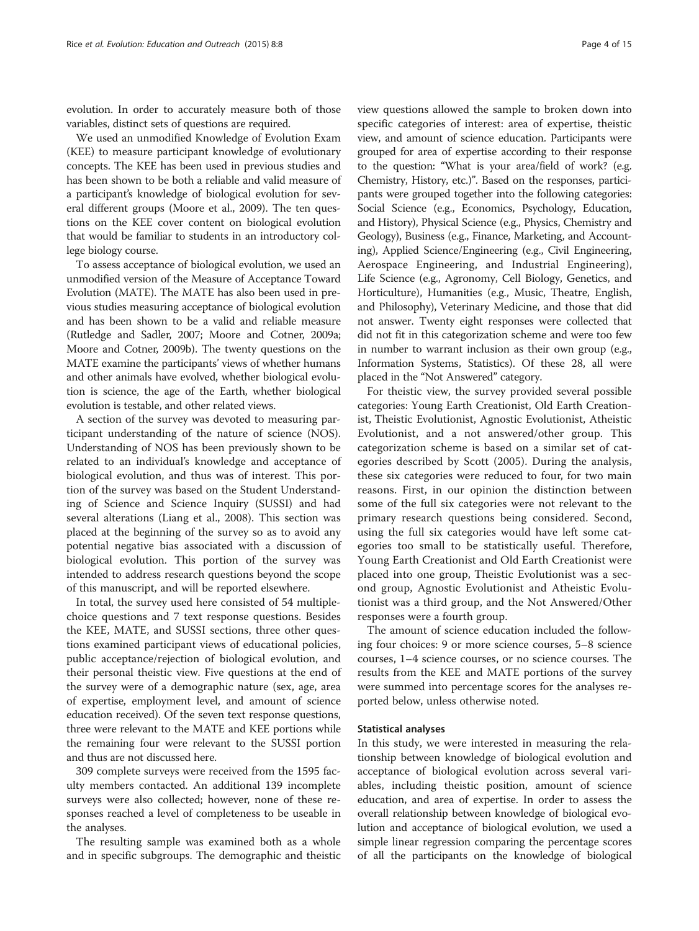evolution. In order to accurately measure both of those variables, distinct sets of questions are required.

We used an unmodified Knowledge of Evolution Exam (KEE) to measure participant knowledge of evolutionary concepts. The KEE has been used in previous studies and has been shown to be both a reliable and valid measure of a participant's knowledge of biological evolution for several different groups (Moore et al., [2009](#page-13-0)). The ten questions on the KEE cover content on biological evolution that would be familiar to students in an introductory college biology course.

To assess acceptance of biological evolution, we used an unmodified version of the Measure of Acceptance Toward Evolution (MATE). The MATE has also been used in previous studies measuring acceptance of biological evolution and has been shown to be a valid and reliable measure (Rutledge and Sadler, [2007;](#page-14-0) Moore and Cotner, [2009a](#page-13-0); Moore and Cotner, [2009b](#page-13-0)). The twenty questions on the MATE examine the participants' views of whether humans and other animals have evolved, whether biological evolution is science, the age of the Earth, whether biological evolution is testable, and other related views.

A section of the survey was devoted to measuring participant understanding of the nature of science (NOS). Understanding of NOS has been previously shown to be related to an individual's knowledge and acceptance of biological evolution, and thus was of interest. This portion of the survey was based on the Student Understanding of Science and Science Inquiry (SUSSI) and had several alterations (Liang et al., [2008](#page-13-0)). This section was placed at the beginning of the survey so as to avoid any potential negative bias associated with a discussion of biological evolution. This portion of the survey was intended to address research questions beyond the scope of this manuscript, and will be reported elsewhere.

In total, the survey used here consisted of 54 multiplechoice questions and 7 text response questions. Besides the KEE, MATE, and SUSSI sections, three other questions examined participant views of educational policies, public acceptance/rejection of biological evolution, and their personal theistic view. Five questions at the end of the survey were of a demographic nature (sex, age, area of expertise, employment level, and amount of science education received). Of the seven text response questions, three were relevant to the MATE and KEE portions while the remaining four were relevant to the SUSSI portion and thus are not discussed here.

309 complete surveys were received from the 1595 faculty members contacted. An additional 139 incomplete surveys were also collected; however, none of these responses reached a level of completeness to be useable in the analyses.

The resulting sample was examined both as a whole and in specific subgroups. The demographic and theistic view questions allowed the sample to broken down into specific categories of interest: area of expertise, theistic view, and amount of science education. Participants were grouped for area of expertise according to their response to the question: "What is your area/field of work? (e.g. Chemistry, History, etc.)". Based on the responses, participants were grouped together into the following categories: Social Science (e.g., Economics, Psychology, Education, and History), Physical Science (e.g., Physics, Chemistry and Geology), Business (e.g., Finance, Marketing, and Accounting), Applied Science/Engineering (e.g., Civil Engineering, Aerospace Engineering, and Industrial Engineering), Life Science (e.g., Agronomy, Cell Biology, Genetics, and Horticulture), Humanities (e.g., Music, Theatre, English, and Philosophy), Veterinary Medicine, and those that did not answer. Twenty eight responses were collected that did not fit in this categorization scheme and were too few in number to warrant inclusion as their own group (e.g., Information Systems, Statistics). Of these 28, all were placed in the "Not Answered" category.

For theistic view, the survey provided several possible categories: Young Earth Creationist, Old Earth Creationist, Theistic Evolutionist, Agnostic Evolutionist, Atheistic Evolutionist, and a not answered/other group. This categorization scheme is based on a similar set of categories described by Scott ([2005](#page-14-0)). During the analysis, these six categories were reduced to four, for two main reasons. First, in our opinion the distinction between some of the full six categories were not relevant to the primary research questions being considered. Second, using the full six categories would have left some categories too small to be statistically useful. Therefore, Young Earth Creationist and Old Earth Creationist were placed into one group, Theistic Evolutionist was a second group, Agnostic Evolutionist and Atheistic Evolutionist was a third group, and the Not Answered/Other responses were a fourth group.

The amount of science education included the following four choices: 9 or more science courses, 5–8 science courses, 1–4 science courses, or no science courses. The results from the KEE and MATE portions of the survey were summed into percentage scores for the analyses reported below, unless otherwise noted.

# Statistical analyses

In this study, we were interested in measuring the relationship between knowledge of biological evolution and acceptance of biological evolution across several variables, including theistic position, amount of science education, and area of expertise. In order to assess the overall relationship between knowledge of biological evolution and acceptance of biological evolution, we used a simple linear regression comparing the percentage scores of all the participants on the knowledge of biological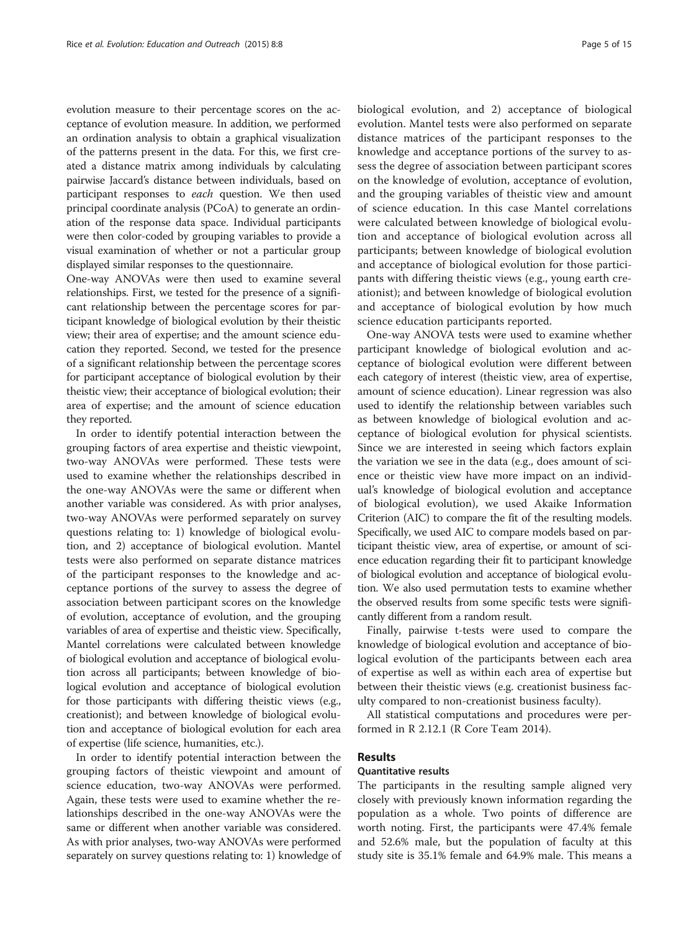evolution measure to their percentage scores on the acceptance of evolution measure. In addition, we performed an ordination analysis to obtain a graphical visualization of the patterns present in the data. For this, we first created a distance matrix among individuals by calculating pairwise Jaccard's distance between individuals, based on participant responses to each question. We then used principal coordinate analysis (PCoA) to generate an ordination of the response data space. Individual participants were then color-coded by grouping variables to provide a visual examination of whether or not a particular group displayed similar responses to the questionnaire.

One-way ANOVAs were then used to examine several relationships. First, we tested for the presence of a significant relationship between the percentage scores for participant knowledge of biological evolution by their theistic view; their area of expertise; and the amount science education they reported. Second, we tested for the presence of a significant relationship between the percentage scores for participant acceptance of biological evolution by their theistic view; their acceptance of biological evolution; their area of expertise; and the amount of science education they reported.

In order to identify potential interaction between the grouping factors of area expertise and theistic viewpoint, two-way ANOVAs were performed. These tests were used to examine whether the relationships described in the one-way ANOVAs were the same or different when another variable was considered. As with prior analyses, two-way ANOVAs were performed separately on survey questions relating to: 1) knowledge of biological evolution, and 2) acceptance of biological evolution. Mantel tests were also performed on separate distance matrices of the participant responses to the knowledge and acceptance portions of the survey to assess the degree of association between participant scores on the knowledge of evolution, acceptance of evolution, and the grouping variables of area of expertise and theistic view. Specifically, Mantel correlations were calculated between knowledge of biological evolution and acceptance of biological evolution across all participants; between knowledge of biological evolution and acceptance of biological evolution for those participants with differing theistic views (e.g., creationist); and between knowledge of biological evolution and acceptance of biological evolution for each area of expertise (life science, humanities, etc.).

In order to identify potential interaction between the grouping factors of theistic viewpoint and amount of science education, two-way ANOVAs were performed. Again, these tests were used to examine whether the relationships described in the one-way ANOVAs were the same or different when another variable was considered. As with prior analyses, two-way ANOVAs were performed separately on survey questions relating to: 1) knowledge of biological evolution, and 2) acceptance of biological evolution. Mantel tests were also performed on separate distance matrices of the participant responses to the knowledge and acceptance portions of the survey to assess the degree of association between participant scores on the knowledge of evolution, acceptance of evolution, and the grouping variables of theistic view and amount of science education. In this case Mantel correlations were calculated between knowledge of biological evolution and acceptance of biological evolution across all participants; between knowledge of biological evolution and acceptance of biological evolution for those participants with differing theistic views (e.g., young earth creationist); and between knowledge of biological evolution and acceptance of biological evolution by how much science education participants reported.

One-way ANOVA tests were used to examine whether participant knowledge of biological evolution and acceptance of biological evolution were different between each category of interest (theistic view, area of expertise, amount of science education). Linear regression was also used to identify the relationship between variables such as between knowledge of biological evolution and acceptance of biological evolution for physical scientists. Since we are interested in seeing which factors explain the variation we see in the data (e.g., does amount of science or theistic view have more impact on an individual's knowledge of biological evolution and acceptance of biological evolution), we used Akaike Information Criterion (AIC) to compare the fit of the resulting models. Specifically, we used AIC to compare models based on participant theistic view, area of expertise, or amount of science education regarding their fit to participant knowledge of biological evolution and acceptance of biological evolution. We also used permutation tests to examine whether the observed results from some specific tests were significantly different from a random result.

Finally, pairwise t-tests were used to compare the knowledge of biological evolution and acceptance of biological evolution of the participants between each area of expertise as well as within each area of expertise but between their theistic views (e.g. creationist business faculty compared to non-creationist business faculty).

All statistical computations and procedures were performed in R 2.12.1 (R Core Team [2014](#page-13-0)).

# Results

# Quantitative results

The participants in the resulting sample aligned very closely with previously known information regarding the population as a whole. Two points of difference are worth noting. First, the participants were 47.4% female and 52.6% male, but the population of faculty at this study site is 35.1% female and 64.9% male. This means a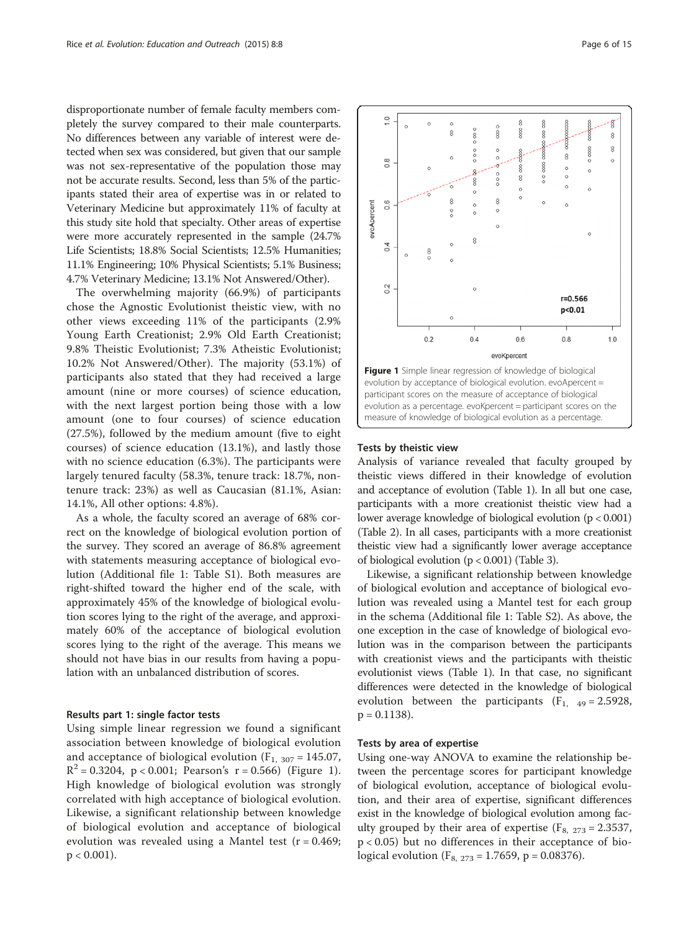disproportionate number of female faculty members completely the survey compared to their male counterparts. No differences between any variable of interest were detected when sex was considered, but given that our sample was not sex-representative of the population those may not be accurate results. Second, less than 5% of the participants stated their area of expertise was in or related to Veterinary Medicine but approximately 11% of faculty at this study site hold that specialty. Other areas of expertise were more accurately represented in the sample (24.7% Life Scientists; 18.8% Social Scientists; 12.5% Humanities; 11.1% Engineering; 10% Physical Scientists; 5.1% Business; 4.7% Veterinary Medicine; 13.1% Not Answered/Other).

The overwhelming majority (66.9%) of participants chose the Agnostic Evolutionist theistic view, with no other views exceeding 11% of the participants (2.9% Young Earth Creationist; 2.9% Old Earth Creationist; 9.8% Theistic Evolutionist; 7.3% Atheistic Evolutionist; 10.2% Not Answered/Other). The majority (53.1%) of participants also stated that they had received a large amount (nine or more courses) of science education, with the next largest portion being those with a low amount (one to four courses) of science education (27.5%), followed by the medium amount (five to eight courses) of science education (13.1%), and lastly those with no science education (6.3%). The participants were largely tenured faculty (58.3%, tenure track: 18.7%, nontenure track: 23%) as well as Caucasian (81.1%, Asian: 14.1%, All other options: 4.8%).

As a whole, the faculty scored an average of 68% correct on the knowledge of biological evolution portion of the survey. They scored an average of 86.8% agreement with statements measuring acceptance of biological evolution (Additional file [1](#page-12-0): Table S1). Both measures are right-shifted toward the higher end of the scale, with approximately 45% of the knowledge of biological evolution scores lying to the right of the average, and approximately 60% of the acceptance of biological evolution scores lying to the right of the average. This means we should not have bias in our results from having a population with an unbalanced distribution of scores.

# Results part 1: single factor tests

Using simple linear regression we found a significant association between knowledge of biological evolution and acceptance of biological evolution  $(F_{1, 307} = 145.07,$  $R^2 = 0.3204$ , p < 0.001; Pearson's r = 0.566) (Figure 1). High knowledge of biological evolution was strongly correlated with high acceptance of biological evolution. Likewise, a significant relationship between knowledge of biological evolution and acceptance of biological evolution was revealed using a Mantel test  $(r = 0.469;$  $p < 0.001$ ).



#### Tests by theistic view

Analysis of variance revealed that faculty grouped by theistic views differed in their knowledge of evolution and acceptance of evolution (Table [1\)](#page-6-0). In all but one case, participants with a more creationist theistic view had a lower average knowledge of biological evolution (p < 0.001) (Table [2](#page-6-0)). In all cases, participants with a more creationist theistic view had a significantly lower average acceptance of biological evolution (p < 0.001) (Table [3\)](#page-7-0).

Likewise, a significant relationship between knowledge of biological evolution and acceptance of biological evolution was revealed using a Mantel test for each group in the schema (Additional file [1:](#page-12-0) Table S2). As above, the one exception in the case of knowledge of biological evolution was in the comparison between the participants with creationist views and the participants with theistic evolutionist views (Table [1](#page-6-0)). In that case, no significant differences were detected in the knowledge of biological evolution between the participants  $(F_{1, 49} = 2.5928,$  $p = 0.1138$ .

# Tests by area of expertise

Using one-way ANOVA to examine the relationship between the percentage scores for participant knowledge of biological evolution, acceptance of biological evolution, and their area of expertise, significant differences exist in the knowledge of biological evolution among faculty grouped by their area of expertise  $(F_{8, 273} = 2.3537,$ p < 0.05) but no differences in their acceptance of biological evolution (F<sub>8, 273</sub> = 1.7659, p = 0.08376).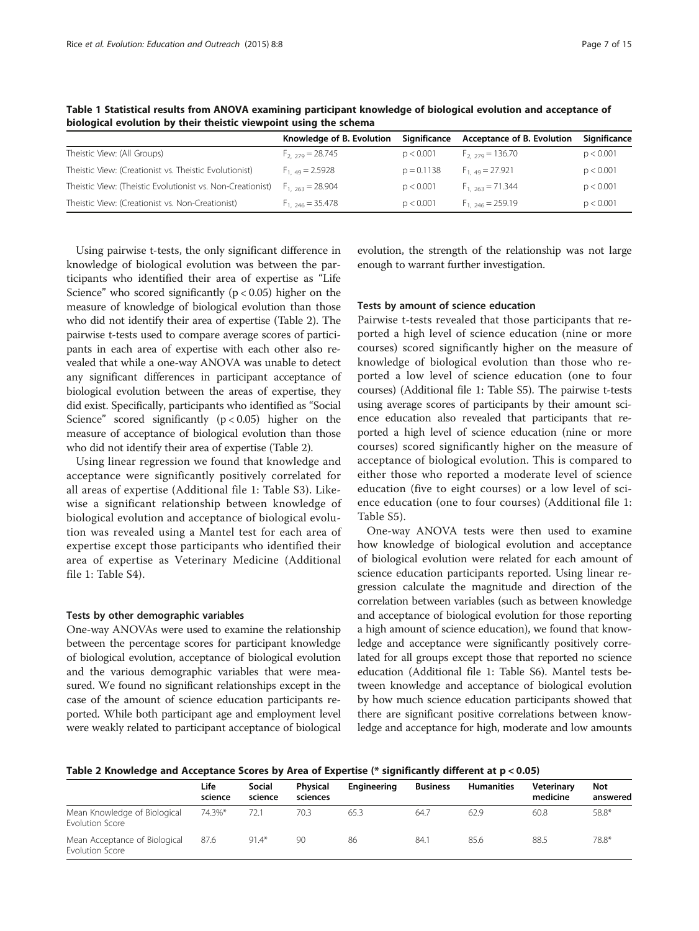|                                                                                          | Knowledge of B. Evolution | Significance | Acceptance of B. Evolution | Significance |
|------------------------------------------------------------------------------------------|---------------------------|--------------|----------------------------|--------------|
| Theistic View: (All Groups)                                                              | $F_{2, 279} = 28.745$     | p < 0.001    | $F_{2, 279} = 136.70$      | p < 0.001    |
| Theistic View: (Creationist vs. Theistic Evolutionist)                                   | $F_{1,49} = 2.5928$       | $p = 0.1138$ | $F_{1,49} = 27.921$        | p < 0.001    |
| Theistic View: (Theistic Evolutionist vs. Non-Creationist) $F_1$ <sub>263</sub> = 28.904 |                           | p < 0.001    | $F_{1,263} = 71.344$       | p < 0.001    |
| Theistic View: (Creationist vs. Non-Creationist)                                         | $F_{1, 246} = 35.478$     | p < 0.001    | $F_{1, 246} = 259.19$      | p < 0.001    |

<span id="page-6-0"></span>Table 1 Statistical results from ANOVA examining participant knowledge of biological evolution and acceptance of biological evolution by their theistic viewpoint using the schema

Using pairwise t-tests, the only significant difference in knowledge of biological evolution was between the participants who identified their area of expertise as "Life Science" who scored significantly ( $p < 0.05$ ) higher on the measure of knowledge of biological evolution than those who did not identify their area of expertise (Table 2). The pairwise t-tests used to compare average scores of participants in each area of expertise with each other also revealed that while a one-way ANOVA was unable to detect any significant differences in participant acceptance of biological evolution between the areas of expertise, they did exist. Specifically, participants who identified as "Social Science" scored significantly  $(p < 0.05)$  higher on the measure of acceptance of biological evolution than those who did not identify their area of expertise (Table 2).

Using linear regression we found that knowledge and acceptance were significantly positively correlated for all areas of expertise (Additional file [1:](#page-12-0) Table S3). Likewise a significant relationship between knowledge of biological evolution and acceptance of biological evolution was revealed using a Mantel test for each area of expertise except those participants who identified their area of expertise as Veterinary Medicine (Additional file [1](#page-12-0): Table S4).

# Tests by other demographic variables

One-way ANOVAs were used to examine the relationship between the percentage scores for participant knowledge of biological evolution, acceptance of biological evolution and the various demographic variables that were measured. We found no significant relationships except in the case of the amount of science education participants reported. While both participant age and employment level were weakly related to participant acceptance of biological evolution, the strength of the relationship was not large enough to warrant further investigation.

# Tests by amount of science education

Pairwise t-tests revealed that those participants that reported a high level of science education (nine or more courses) scored significantly higher on the measure of knowledge of biological evolution than those who reported a low level of science education (one to four courses) (Additional file [1](#page-12-0): Table S5). The pairwise t-tests using average scores of participants by their amount science education also revealed that participants that reported a high level of science education (nine or more courses) scored significantly higher on the measure of acceptance of biological evolution. This is compared to either those who reported a moderate level of science education (five to eight courses) or a low level of science education (one to four courses) (Additional file [1](#page-12-0): Table S5).

One-way ANOVA tests were then used to examine how knowledge of biological evolution and acceptance of biological evolution were related for each amount of science education participants reported. Using linear regression calculate the magnitude and direction of the correlation between variables (such as between knowledge and acceptance of biological evolution for those reporting a high amount of science education), we found that knowledge and acceptance were significantly positively correlated for all groups except those that reported no science education (Additional file [1](#page-12-0): Table S6). Mantel tests between knowledge and acceptance of biological evolution by how much science education participants showed that there are significant positive correlations between knowledge and acceptance for high, moderate and low amounts

Table 2 Knowledge and Acceptance Scores by Area of Expertise (\* significantly different at p < 0.05)

|                                                  | Life<br>science | <b>Social</b><br>science | <b>Physical</b><br>sciences | Engineering | <b>Business</b> | <b>Humanities</b> | Veterinary<br>medicine | Not<br>answered |
|--------------------------------------------------|-----------------|--------------------------|-----------------------------|-------------|-----------------|-------------------|------------------------|-----------------|
| Mean Knowledge of Biological<br>Evolution Score  | 74.3%*          | 72.1                     | 70.3                        | 65.3        | 64.7            | 62.9              | 60.8                   | 58.8*           |
| Mean Acceptance of Biological<br>Evolution Score | 87.6            | $91.4*$                  | 90                          | -86         | 84.1            | 85.6              | 88.5                   | 78.8*           |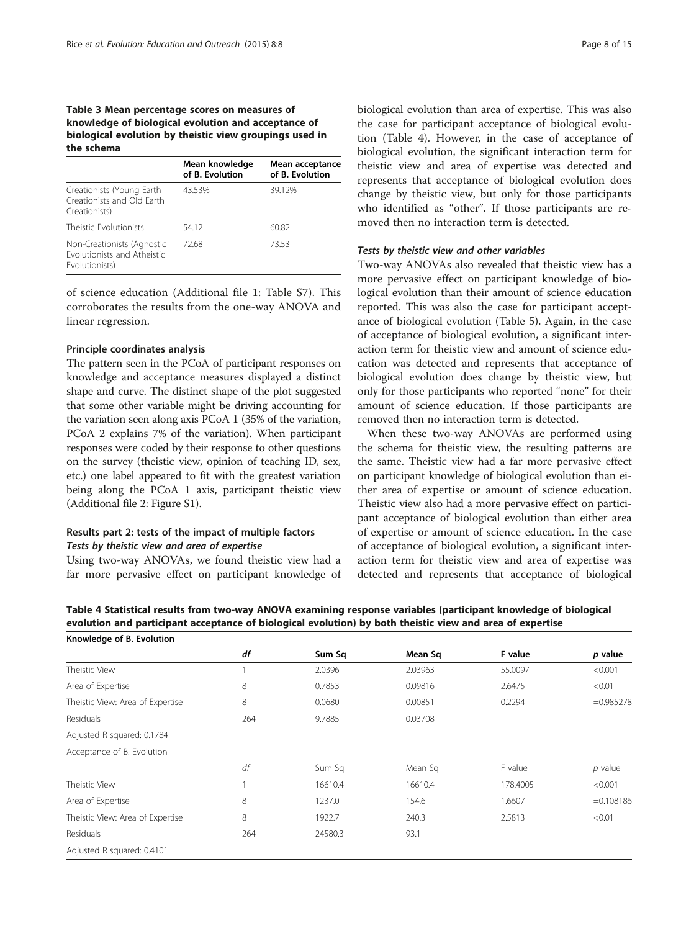# <span id="page-7-0"></span>Table 3 Mean percentage scores on measures of knowledge of biological evolution and acceptance of biological evolution by theistic view groupings used in the schema

|                                                                                    | Mean knowledge<br>of B. Evolution | Mean acceptance<br>of B. Evolution |
|------------------------------------------------------------------------------------|-----------------------------------|------------------------------------|
| Creationists (Young Earth<br>Creationists and Old Earth<br>Creationists)           | 43.53%                            | 39.12%                             |
| Theistic Evolutionists                                                             | 54.12                             | 60.82                              |
| Non-Creationists (Agnostic<br><b>Evolutionists and Atheistic</b><br>Evolutionists) | 72.68                             | 73.53                              |

of science education (Additional file [1](#page-12-0): Table S7). This corroborates the results from the one-way ANOVA and linear regression.

# Principle coordinates analysis

The pattern seen in the PCoA of participant responses on knowledge and acceptance measures displayed a distinct shape and curve. The distinct shape of the plot suggested that some other variable might be driving accounting for the variation seen along axis PCoA 1 (35% of the variation, PCoA 2 explains 7% of the variation). When participant responses were coded by their response to other questions on the survey (theistic view, opinion of teaching ID, sex, etc.) one label appeared to fit with the greatest variation being along the PCoA 1 axis, participant theistic view (Additional file [2](#page-13-0): Figure S1).

# Results part 2: tests of the impact of multiple factors Tests by theistic view and area of expertise

Using two-way ANOVAs, we found theistic view had a far more pervasive effect on participant knowledge of biological evolution than area of expertise. This was also the case for participant acceptance of biological evolution (Table 4). However, in the case of acceptance of biological evolution, the significant interaction term for theistic view and area of expertise was detected and represents that acceptance of biological evolution does change by theistic view, but only for those participants who identified as "other". If those participants are removed then no interaction term is detected.

# Tests by theistic view and other variables

Two-way ANOVAs also revealed that theistic view has a more pervasive effect on participant knowledge of biological evolution than their amount of science education reported. This was also the case for participant acceptance of biological evolution (Table [5\)](#page-8-0). Again, in the case of acceptance of biological evolution, a significant interaction term for theistic view and amount of science education was detected and represents that acceptance of biological evolution does change by theistic view, but only for those participants who reported "none" for their amount of science education. If those participants are removed then no interaction term is detected.

When these two-way ANOVAs are performed using the schema for theistic view, the resulting patterns are the same. Theistic view had a far more pervasive effect on participant knowledge of biological evolution than either area of expertise or amount of science education. Theistic view also had a more pervasive effect on participant acceptance of biological evolution than either area of expertise or amount of science education. In the case of acceptance of biological evolution, a significant interaction term for theistic view and area of expertise was detected and represents that acceptance of biological

| Knowledge of B. Evolution        |     |         |         |          |             |
|----------------------------------|-----|---------|---------|----------|-------------|
|                                  | df  | Sum Sq  | Mean Sq | F value  | p value     |
| Theistic View                    |     | 2.0396  | 2.03963 | 55.0097  | < 0.001     |
| Area of Expertise                | 8   | 0.7853  | 0.09816 | 2.6475   | < 0.01      |
| Theistic View: Area of Expertise | 8   | 0.0680  | 0.00851 | 0.2294   | $=0.985278$ |
| <b>Residuals</b>                 | 264 | 9.7885  | 0.03708 |          |             |
| Adjusted R squared: 0.1784       |     |         |         |          |             |
| Acceptance of B. Evolution       |     |         |         |          |             |
|                                  | df  | Sum Sq  | Mean Sq | F value  | $p$ value   |
| Theistic View                    |     | 16610.4 | 16610.4 | 178,4005 | < 0.001     |
| Area of Expertise                | 8   | 1237.0  | 154.6   | 1.6607   | $=0.108186$ |
| Theistic View: Area of Expertise | 8   | 1922.7  | 240.3   | 2.5813   | < 0.01      |
| <b>Residuals</b>                 | 264 | 24580.3 | 93.1    |          |             |
| Adjusted R squared: 0.4101       |     |         |         |          |             |

Table 4 Statistical results from two-way ANOVA examining response variables (participant knowledge of biological evolution and participant acceptance of biological evolution) by both theistic view and area of expertise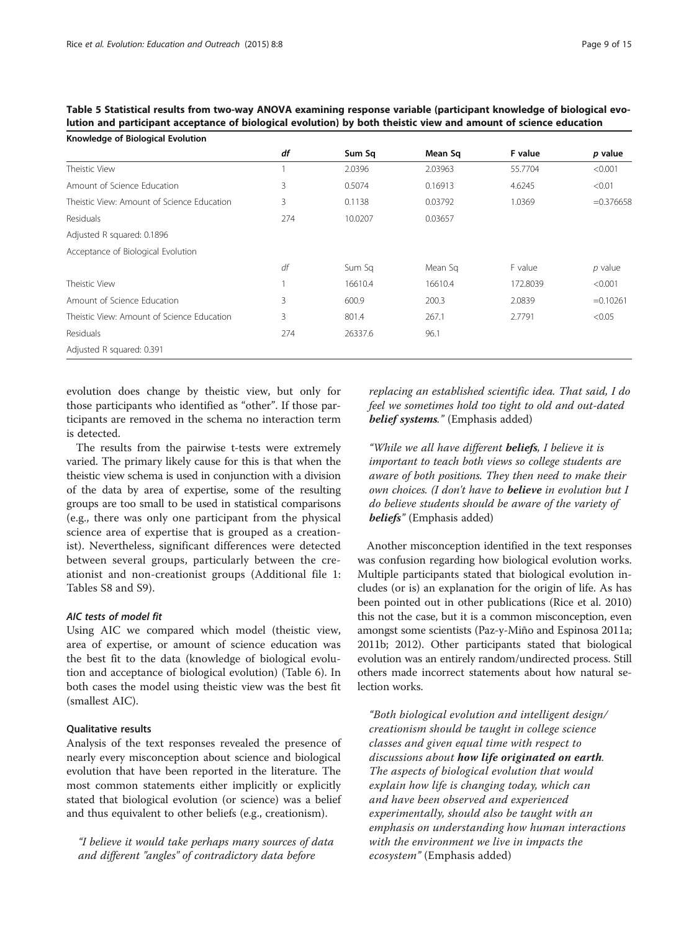Knowledge of Biological Evolution

| Knowledge of Bloidgical Evolution          |     |         |         |          |              |
|--------------------------------------------|-----|---------|---------|----------|--------------|
|                                            | df  | Sum Sq  | Mean Sq | F value  | p value      |
| Theistic View                              |     | 2.0396  | 2.03963 | 55.7704  | < 0.001      |
| Amount of Science Education                | 3   | 0.5074  | 0.16913 | 4.6245   | < 0.01       |
| Theistic View: Amount of Science Education | 3   | 0.1138  | 0.03792 | 1.0369   | $= 0.376658$ |
| <b>Residuals</b>                           | 274 | 10.0207 | 0.03657 |          |              |
| Adjusted R squared: 0.1896                 |     |         |         |          |              |
| Acceptance of Biological Evolution         |     |         |         |          |              |
|                                            | df  | Sum Sa  | Mean Sq | F value  | $p$ value    |
| Theistic View                              |     | 16610.4 | 16610.4 | 172.8039 | < 0.001      |
| Amount of Science Education                | 3   | 600.9   | 200.3   | 2.0839   | $=0.10261$   |
| Theistic View: Amount of Science Education | 3   | 801.4   | 267.1   | 2.7791   | < 0.05       |
| <b>Residuals</b>                           | 274 | 26337.6 | 96.1    |          |              |
| Adjusted R squared: 0.391                  |     |         |         |          |              |

<span id="page-8-0"></span>Table 5 Statistical results from two-way ANOVA examining response variable (participant knowledge of biological evolution and participant acceptance of biological evolution) by both theistic view and amount of science education

evolution does change by theistic view, but only for those participants who identified as "other". If those participants are removed in the schema no interaction term is detected.

The results from the pairwise t-tests were extremely varied. The primary likely cause for this is that when the theistic view schema is used in conjunction with a division of the data by area of expertise, some of the resulting groups are too small to be used in statistical comparisons (e.g., there was only one participant from the physical science area of expertise that is grouped as a creationist). Nevertheless, significant differences were detected between several groups, particularly between the creationist and non-creationist groups (Additional file [1](#page-12-0): Tables S8 and S9).

# AIC tests of model fit

Using AIC we compared which model (theistic view, area of expertise, or amount of science education was the best fit to the data (knowledge of biological evolution and acceptance of biological evolution) (Table [6](#page-9-0)). In both cases the model using theistic view was the best fit (smallest AIC).

# Qualitative results

Analysis of the text responses revealed the presence of nearly every misconception about science and biological evolution that have been reported in the literature. The most common statements either implicitly or explicitly stated that biological evolution (or science) was a belief and thus equivalent to other beliefs (e.g., creationism).

"I believe it would take perhaps many sources of data and different "angles" of contradictory data before

replacing an established scientific idea. That said, I do feel we sometimes hold too tight to old and out-dated belief systems." (Emphasis added)

"While we all have different beliefs, I believe it is important to teach both views so college students are aware of both positions. They then need to make their own choices. (I don't have to **believe** in evolution but I do believe students should be aware of the variety of beliefs" (Emphasis added)

Another misconception identified in the text responses was confusion regarding how biological evolution works. Multiple participants stated that biological evolution includes (or is) an explanation for the origin of life. As has been pointed out in other publications (Rice et al. [2010](#page-13-0)) this not the case, but it is a common misconception, even amongst some scientists (Paz-y-Miño and Espinosa [2011](#page-13-0)a; [2011b](#page-13-0); [2012](#page-13-0)). Other participants stated that biological evolution was an entirely random/undirected process. Still others made incorrect statements about how natural selection works.

"Both biological evolution and intelligent design/ creationism should be taught in college science classes and given equal time with respect to discussions about how life originated on earth. The aspects of biological evolution that would explain how life is changing today, which can and have been observed and experienced experimentally, should also be taught with an emphasis on understanding how human interactions with the environment we live in impacts the ecosystem" (Emphasis added)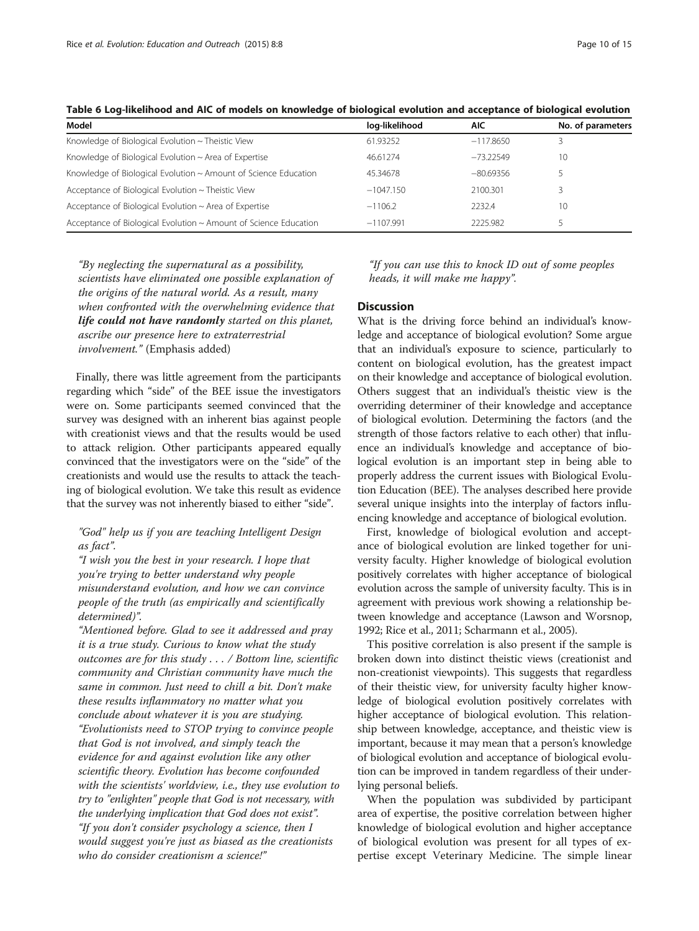| Model                                                            | log-likelihood | <b>AIC</b>  | No. of parameters |
|------------------------------------------------------------------|----------------|-------------|-------------------|
| Knowledge of Biological Evolution ~ Theistic View                | 61.93252       | $-117.8650$ |                   |
| Knowledge of Biological Evolution ~ Area of Expertise            | 46.61274       | $-73.22549$ | $10 \,$           |
| Knowledge of Biological Evolution ~ Amount of Science Education  | 45.34678       | $-80.69356$ |                   |
| Acceptance of Biological Evolution ~ Theistic View               | $-1047.150$    | 2100.301    |                   |
| Acceptance of Biological Evolution ~ Area of Expertise           | $-1106.2$      | 2232.4      | $10 \,$           |
| Acceptance of Biological Evolution ~ Amount of Science Education | $-1107.991$    | 2225.982    |                   |

<span id="page-9-0"></span>Table 6 Log-likelihood and AIC of models on knowledge of biological evolution and acceptance of biological evolution

"By neglecting the supernatural as a possibility, scientists have eliminated one possible explanation of the origins of the natural world. As a result, many when confronted with the overwhelming evidence that life could not have randomly started on this planet, ascribe our presence here to extraterrestrial involvement." (Emphasis added)

Finally, there was little agreement from the participants regarding which "side" of the BEE issue the investigators were on. Some participants seemed convinced that the survey was designed with an inherent bias against people with creationist views and that the results would be used to attack religion. Other participants appeared equally convinced that the investigators were on the "side" of the creationists and would use the results to attack the teaching of biological evolution. We take this result as evidence that the survey was not inherently biased to either "side".

# "God" help us if you are teaching Intelligent Design as fact".

"I wish you the best in your research. I hope that you're trying to better understand why people misunderstand evolution, and how we can convince people of the truth (as empirically and scientifically determined)".

"Mentioned before. Glad to see it addressed and pray it is a true study. Curious to know what the study outcomes are for this study .../ Bottom line, scientific community and Christian community have much the same in common. Just need to chill a bit. Don't make these results inflammatory no matter what you conclude about whatever it is you are studying. "Evolutionists need to STOP trying to convince people that God is not involved, and simply teach the evidence for and against evolution like any other scientific theory. Evolution has become confounded with the scientists' worldview, i.e., they use evolution to try to "enlighten" people that God is not necessary, with the underlying implication that God does not exist". "If you don't consider psychology a science, then I would suggest you're just as biased as the creationists who do consider creationism a science!"

"If you can use this to knock ID out of some peoples heads, it will make me happy".

# **Discussion**

What is the driving force behind an individual's knowledge and acceptance of biological evolution? Some argue that an individual's exposure to science, particularly to content on biological evolution, has the greatest impact on their knowledge and acceptance of biological evolution. Others suggest that an individual's theistic view is the overriding determiner of their knowledge and acceptance of biological evolution. Determining the factors (and the strength of those factors relative to each other) that influence an individual's knowledge and acceptance of biological evolution is an important step in being able to properly address the current issues with Biological Evolution Education (BEE). The analyses described here provide several unique insights into the interplay of factors influencing knowledge and acceptance of biological evolution.

First, knowledge of biological evolution and acceptance of biological evolution are linked together for university faculty. Higher knowledge of biological evolution positively correlates with higher acceptance of biological evolution across the sample of university faculty. This is in agreement with previous work showing a relationship between knowledge and acceptance (Lawson and Worsnop, [1992](#page-13-0); Rice et al., [2011](#page-14-0); Scharmann et al., [2005\)](#page-14-0).

This positive correlation is also present if the sample is broken down into distinct theistic views (creationist and non-creationist viewpoints). This suggests that regardless of their theistic view, for university faculty higher knowledge of biological evolution positively correlates with higher acceptance of biological evolution. This relationship between knowledge, acceptance, and theistic view is important, because it may mean that a person's knowledge of biological evolution and acceptance of biological evolution can be improved in tandem regardless of their underlying personal beliefs.

When the population was subdivided by participant area of expertise, the positive correlation between higher knowledge of biological evolution and higher acceptance of biological evolution was present for all types of expertise except Veterinary Medicine. The simple linear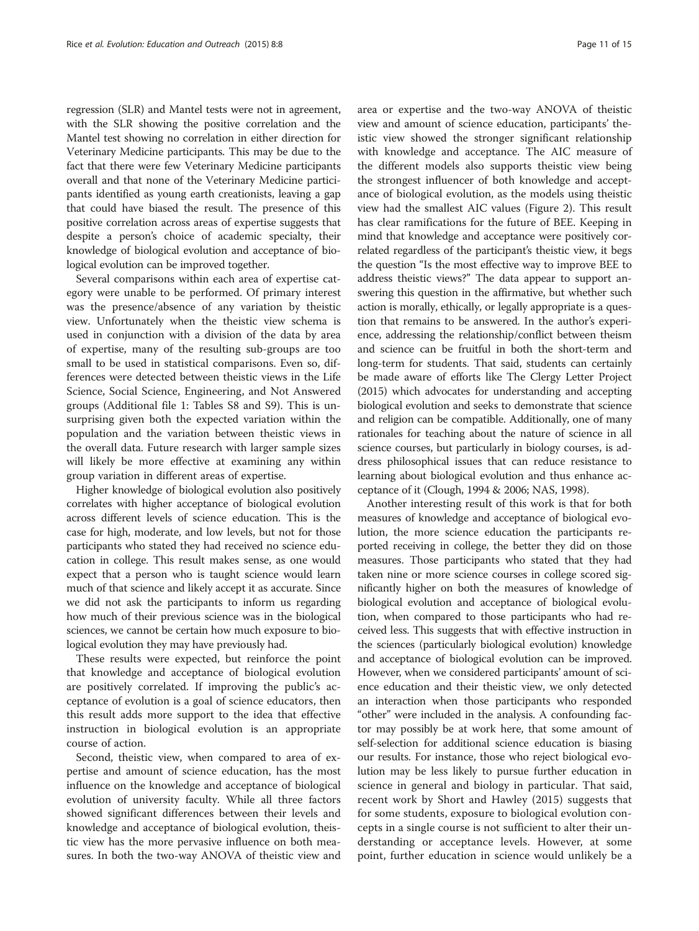regression (SLR) and Mantel tests were not in agreement, with the SLR showing the positive correlation and the Mantel test showing no correlation in either direction for Veterinary Medicine participants. This may be due to the fact that there were few Veterinary Medicine participants overall and that none of the Veterinary Medicine participants identified as young earth creationists, leaving a gap that could have biased the result. The presence of this positive correlation across areas of expertise suggests that despite a person's choice of academic specialty, their knowledge of biological evolution and acceptance of biological evolution can be improved together.

Several comparisons within each area of expertise category were unable to be performed. Of primary interest was the presence/absence of any variation by theistic view. Unfortunately when the theistic view schema is used in conjunction with a division of the data by area of expertise, many of the resulting sub-groups are too small to be used in statistical comparisons. Even so, differences were detected between theistic views in the Life Science, Social Science, Engineering, and Not Answered groups (Additional file [1:](#page-12-0) Tables S8 and S9). This is unsurprising given both the expected variation within the population and the variation between theistic views in the overall data. Future research with larger sample sizes will likely be more effective at examining any within group variation in different areas of expertise.

Higher knowledge of biological evolution also positively correlates with higher acceptance of biological evolution across different levels of science education. This is the case for high, moderate, and low levels, but not for those participants who stated they had received no science education in college. This result makes sense, as one would expect that a person who is taught science would learn much of that science and likely accept it as accurate. Since we did not ask the participants to inform us regarding how much of their previous science was in the biological sciences, we cannot be certain how much exposure to biological evolution they may have previously had.

These results were expected, but reinforce the point that knowledge and acceptance of biological evolution are positively correlated. If improving the public's acceptance of evolution is a goal of science educators, then this result adds more support to the idea that effective instruction in biological evolution is an appropriate course of action.

Second, theistic view, when compared to area of expertise and amount of science education, has the most influence on the knowledge and acceptance of biological evolution of university faculty. While all three factors showed significant differences between their levels and knowledge and acceptance of biological evolution, theistic view has the more pervasive influence on both measures. In both the two-way ANOVA of theistic view and

area or expertise and the two-way ANOVA of theistic view and amount of science education, participants' theistic view showed the stronger significant relationship with knowledge and acceptance. The AIC measure of the different models also supports theistic view being the strongest influencer of both knowledge and acceptance of biological evolution, as the models using theistic view had the smallest AIC values (Figure [2\)](#page-11-0). This result has clear ramifications for the future of BEE. Keeping in mind that knowledge and acceptance were positively correlated regardless of the participant's theistic view, it begs the question "Is the most effective way to improve BEE to address theistic views?" The data appear to support answering this question in the affirmative, but whether such action is morally, ethically, or legally appropriate is a question that remains to be answered. In the author's experience, addressing the relationship/conflict between theism and science can be fruitful in both the short-term and long-term for students. That said, students can certainly be made aware of efforts like The Clergy Letter Project ([2015](#page-14-0)) which advocates for understanding and accepting biological evolution and seeks to demonstrate that science and religion can be compatible. Additionally, one of many rationales for teaching about the nature of science in all science courses, but particularly in biology courses, is address philosophical issues that can reduce resistance to learning about biological evolution and thus enhance acceptance of it (Clough, [1994](#page-13-0) & [2006;](#page-13-0) NAS, [1998\)](#page-13-0).

Another interesting result of this work is that for both measures of knowledge and acceptance of biological evolution, the more science education the participants reported receiving in college, the better they did on those measures. Those participants who stated that they had taken nine or more science courses in college scored significantly higher on both the measures of knowledge of biological evolution and acceptance of biological evolution, when compared to those participants who had received less. This suggests that with effective instruction in the sciences (particularly biological evolution) knowledge and acceptance of biological evolution can be improved. However, when we considered participants' amount of science education and their theistic view, we only detected an interaction when those participants who responded "other" were included in the analysis. A confounding factor may possibly be at work here, that some amount of self-selection for additional science education is biasing our results. For instance, those who reject biological evolution may be less likely to pursue further education in science in general and biology in particular. That said, recent work by Short and Hawley (2015) suggests that for some students, exposure to biological evolution concepts in a single course is not sufficient to alter their understanding or acceptance levels. However, at some point, further education in science would unlikely be a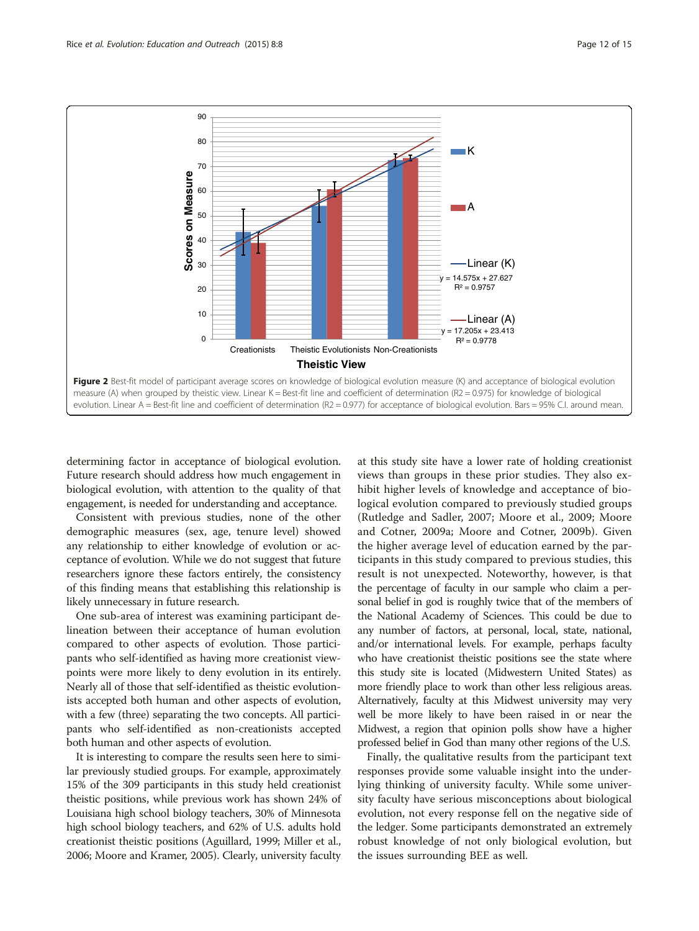<span id="page-11-0"></span>

determining factor in acceptance of biological evolution. Future research should address how much engagement in biological evolution, with attention to the quality of that engagement, is needed for understanding and acceptance.

Consistent with previous studies, none of the other demographic measures (sex, age, tenure level) showed any relationship to either knowledge of evolution or acceptance of evolution. While we do not suggest that future researchers ignore these factors entirely, the consistency of this finding means that establishing this relationship is likely unnecessary in future research.

One sub-area of interest was examining participant delineation between their acceptance of human evolution compared to other aspects of evolution. Those participants who self-identified as having more creationist viewpoints were more likely to deny evolution in its entirely. Nearly all of those that self-identified as theistic evolutionists accepted both human and other aspects of evolution, with a few (three) separating the two concepts. All participants who self-identified as non-creationists accepted both human and other aspects of evolution.

It is interesting to compare the results seen here to similar previously studied groups. For example, approximately 15% of the 309 participants in this study held creationist theistic positions, while previous work has shown 24% of Louisiana high school biology teachers, 30% of Minnesota high school biology teachers, and 62% of U.S. adults hold creationist theistic positions (Aguillard, [1999;](#page-14-0) Miller et al., [2006;](#page-13-0) Moore and Kramer, [2005\)](#page-13-0). Clearly, university faculty

at this study site have a lower rate of holding creationist views than groups in these prior studies. They also exhibit higher levels of knowledge and acceptance of biological evolution compared to previously studied groups (Rutledge and Sadler, [2007](#page-14-0); Moore et al., [2009;](#page-13-0) Moore and Cotner, [2009a](#page-13-0); Moore and Cotner, [2009b\)](#page-13-0). Given the higher average level of education earned by the participants in this study compared to previous studies, this result is not unexpected. Noteworthy, however, is that the percentage of faculty in our sample who claim a personal belief in god is roughly twice that of the members of the National Academy of Sciences. This could be due to any number of factors, at personal, local, state, national, and/or international levels. For example, perhaps faculty who have creationist theistic positions see the state where this study site is located (Midwestern United States) as more friendly place to work than other less religious areas. Alternatively, faculty at this Midwest university may very well be more likely to have been raised in or near the Midwest, a region that opinion polls show have a higher professed belief in God than many other regions of the U.S.

Finally, the qualitative results from the participant text responses provide some valuable insight into the underlying thinking of university faculty. While some university faculty have serious misconceptions about biological evolution, not every response fell on the negative side of the ledger. Some participants demonstrated an extremely robust knowledge of not only biological evolution, but the issues surrounding BEE as well.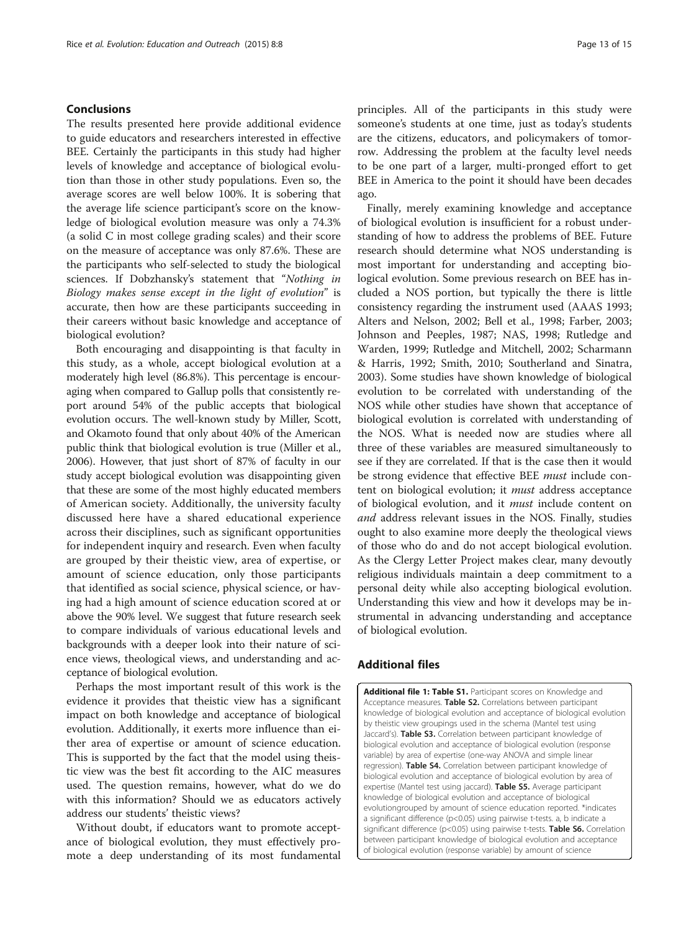# <span id="page-12-0"></span>Conclusions

The results presented here provide additional evidence to guide educators and researchers interested in effective BEE. Certainly the participants in this study had higher levels of knowledge and acceptance of biological evolution than those in other study populations. Even so, the average scores are well below 100%. It is sobering that the average life science participant's score on the knowledge of biological evolution measure was only a 74.3% (a solid C in most college grading scales) and their score on the measure of acceptance was only 87.6%. These are the participants who self-selected to study the biological sciences. If Dobzhansky's statement that "Nothing in Biology makes sense except in the light of evolution" is accurate, then how are these participants succeeding in their careers without basic knowledge and acceptance of biological evolution?

Both encouraging and disappointing is that faculty in this study, as a whole, accept biological evolution at a moderately high level (86.8%). This percentage is encouraging when compared to Gallup polls that consistently report around 54% of the public accepts that biological evolution occurs. The well-known study by Miller, Scott, and Okamoto found that only about 40% of the American public think that biological evolution is true (Miller et al., [2006\)](#page-13-0). However, that just short of 87% of faculty in our study accept biological evolution was disappointing given that these are some of the most highly educated members of American society. Additionally, the university faculty discussed here have a shared educational experience across their disciplines, such as significant opportunities for independent inquiry and research. Even when faculty are grouped by their theistic view, area of expertise, or amount of science education, only those participants that identified as social science, physical science, or having had a high amount of science education scored at or above the 90% level. We suggest that future research seek to compare individuals of various educational levels and backgrounds with a deeper look into their nature of science views, theological views, and understanding and acceptance of biological evolution.

Perhaps the most important result of this work is the evidence it provides that theistic view has a significant impact on both knowledge and acceptance of biological evolution. Additionally, it exerts more influence than either area of expertise or amount of science education. This is supported by the fact that the model using theistic view was the best fit according to the AIC measures used. The question remains, however, what do we do with this information? Should we as educators actively address our students' theistic views?

Without doubt, if educators want to promote acceptance of biological evolution, they must effectively promote a deep understanding of its most fundamental

principles. All of the participants in this study were someone's students at one time, just as today's students are the citizens, educators, and policymakers of tomorrow. Addressing the problem at the faculty level needs to be one part of a larger, multi-pronged effort to get BEE in America to the point it should have been decades ago.

Finally, merely examining knowledge and acceptance of biological evolution is insufficient for a robust understanding of how to address the problems of BEE. Future research should determine what NOS understanding is most important for understanding and accepting biological evolution. Some previous research on BEE has included a NOS portion, but typically the there is little consistency regarding the instrument used (AAAS [1993](#page-13-0); Alters and Nelson, [2002;](#page-13-0) Bell et al., [1998](#page-13-0); Farber, [2003](#page-13-0); Johnson and Peeples, [1987;](#page-13-0) NAS, [1998](#page-13-0); Rutledge and Warden, [1999](#page-14-0); Rutledge and Mitchell, [2002](#page-14-0); Scharmann & Harris, [1992](#page-14-0); Smith, [2010;](#page-14-0) Southerland and Sinatra, [2003](#page-14-0)). Some studies have shown knowledge of biological evolution to be correlated with understanding of the NOS while other studies have shown that acceptance of biological evolution is correlated with understanding of the NOS. What is needed now are studies where all three of these variables are measured simultaneously to see if they are correlated. If that is the case then it would be strong evidence that effective BEE must include content on biological evolution; it *must* address acceptance of biological evolution, and it must include content on and address relevant issues in the NOS. Finally, studies ought to also examine more deeply the theological views of those who do and do not accept biological evolution. As the Clergy Letter Project makes clear, many devoutly religious individuals maintain a deep commitment to a personal deity while also accepting biological evolution. Understanding this view and how it develops may be instrumental in advancing understanding and acceptance of biological evolution.

# Additional files

[Additional file 1: Table S1.](http://www.evolution-outreach.com/content/supplementary/s12052-015-0036-5-s1.pdf) Participant scores on Knowledge and Acceptance measures. Table S2. Correlations between participant knowledge of biological evolution and acceptance of biological evolution by theistic view groupings used in the schema (Mantel test using Jaccard's). Table S3. Correlation between participant knowledge of biological evolution and acceptance of biological evolution (response variable) by area of expertise (one-way ANOVA and simple linear regression). Table S4. Correlation between participant knowledge of biological evolution and acceptance of biological evolution by area of expertise (Mantel test using jaccard). Table S5. Average participant knowledge of biological evolution and acceptance of biological evolutiongrouped by amount of science education reported. \*indicates a significant difference (p<0.05) using pairwise t-tests. a, b indicate a significant difference (p<0.05) using pairwise t-tests. Table S6. Correlation between participant knowledge of biological evolution and acceptance of biological evolution (response variable) by amount of science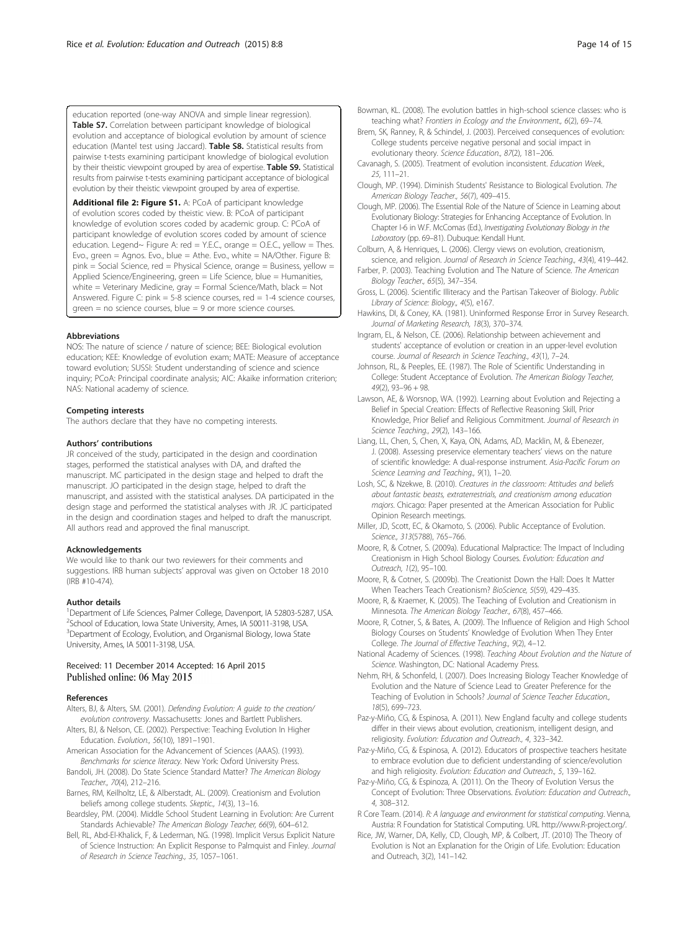<span id="page-13-0"></span>education reported (one-way ANOVA and simple linear regression). Table S7. Correlation between participant knowledge of biological evolution and acceptance of biological evolution by amount of science education (Mantel test using Jaccard). Table S8. Statistical results from pairwise t-tests examining participant knowledge of biological evolution by their theistic viewpoint grouped by area of expertise. Table S9. Statistical results from pairwise t-tests examining participant acceptance of biological evolution by their theistic viewpoint grouped by area of expertise.

[Additional file 2: Figure S1.](http://www.evolution-outreach.com/content/supplementary/s12052-015-0036-5-s2.pdf) A: PCoA of participant knowledge of evolution scores coded by theistic view. B: PCoA of participant knowledge of evolution scores coded by academic group. C: PCoA of participant knowledge of evolution scores coded by amount of science education. Legend~ Figure A: red = Y.E.C., orange = O.E.C., yellow = Thes. Evo., green = Agnos. Evo., blue = Athe. Evo., white = NA/Other. Figure B: pink = Social Science, red = Physical Science, orange = Business, yellow = Applied Science/Engineering, green = Life Science, blue = Humanities, white = Veterinary Medicine, gray = Formal Science/Math, black = Not Answered. Figure C: pink =  $5-8$  science courses, red =  $1-4$  science courses, green = no science courses, blue = 9 or more science courses.

#### Abbreviations

NOS: The nature of science / nature of science; BEE: Biological evolution education; KEE: Knowledge of evolution exam; MATE: Measure of acceptance toward evolution; SUSSI: Student understanding of science and science inquiry; PCoA: Principal coordinate analysis; AIC: Akaike information criterion; NAS: National academy of science.

#### Competing interests

The authors declare that they have no competing interests.

#### Authors' contributions

JR conceived of the study, participated in the design and coordination stages, performed the statistical analyses with DA, and drafted the manuscript. MC participated in the design stage and helped to draft the manuscript. JO participated in the design stage, helped to draft the manuscript, and assisted with the statistical analyses. DA participated in the design stage and performed the statistical analyses with JR. JC participated in the design and coordination stages and helped to draft the manuscript. All authors read and approved the final manuscript.

#### Acknowledgements

We would like to thank our two reviewers for their comments and suggestions. IRB human subjects' approval was given on October 18 2010  $(IRR$  #10-474).

#### Author details

<sup>1</sup>Department of Life Sciences, Palmer College, Davenport, IA 52803-5287, USA. <sup>2</sup>School of Education, Iowa State University, Ames, IA 50011-3198, USA. <sup>3</sup>Department of Ecology, Evolution, and Organismal Biology, Iowa State University, Ames, IA 50011-3198, USA.

# Received: 11 December 2014 Accepted: 16 April 2015 Published online: 06 May 2015

# References

- Alters, BJ, & Alters, SM. (2001). Defending Evolution: A guide to the creation/ evolution controversy. Massachusetts: Jones and Bartlett Publishers.
- Alters, BJ, & Nelson, CE. (2002). Perspective: Teaching Evolution In Higher Education. Evolution., 56(10), 1891–1901.
- American Association for the Advancement of Sciences (AAAS). (1993). Benchmarks for science literacy. New York: Oxford University Press.
- Bandoli, JH. (2008). Do State Science Standard Matter? The American Biology Teacher., 70(4), 212–216.
- Barnes, RM, Keilholtz, LE, & Alberstadt, AL. (2009). Creationism and Evolution beliefs among college students. Skeptic., 14(3), 13–16.
- Beardsley, PM. (2004). Middle School Student Learning in Evolution: Are Current Standards Achievable? The American Biology Teacher, 66(9), 604–612.
- Bell, RL, Abd-El-Khalick, F, & Lederman, NG. (1998). Implicit Versus Explicit Nature of Science Instruction: An Explicit Response to Palmquist and Finley. Journal of Research in Science Teaching., 35, 1057–1061.
- Bowman, KL. (2008). The evolution battles in high-school science classes: who is teaching what? Frontiers in Ecology and the Environment., 6(2), 69–74.
- Brem, SK, Ranney, R, & Schindel, J. (2003). Perceived consequences of evolution: College students perceive negative personal and social impact in evolutionary theory. Science Education., 87(2), 181–206.
- Cavanagh, S. (2005). Treatment of evolution inconsistent. Education Week., 25, 111–21.
- Clough, MP. (1994). Diminish Students' Resistance to Biological Evolution. The American Biology Teacher., 56(7), 409–415.
- Clough, MP. (2006). The Essential Role of the Nature of Science in Learning about Evolutionary Biology: Strategies for Enhancing Acceptance of Evolution. In Chapter I-6 in W.F. McComas (Ed.), Investigating Evolutionary Biology in the Laboratory (pp. 69–81). Dubuque: Kendall Hunt.
- Colburn, A, & Henriques, L. (2006). Clergy views on evolution, creationism, science, and religion. Journal of Research in Science Teaching., 43(4), 419-442.
- Farber, P. (2003). Teaching Evolution and The Nature of Science. The American Biology Teacher., 65(5), 347–354.
- Gross, L. (2006). Scientific Illiteracy and the Partisan Takeover of Biology. Public Library of Science: Biology., 4(5), e167.
- Hawkins, DI, & Coney, KA. (1981). Uninformed Response Error in Survey Research. Journal of Marketing Research, 18(3), 370–374.
- Ingram, EL, & Nelson, CE. (2006). Relationship between achievement and students' acceptance of evolution or creation in an upper-level evolution course. Journal of Research in Science Teaching., 43(1), 7–24.
- Johnson, RL, & Peeples, EE. (1987). The Role of Scientific Understanding in College: Student Acceptance of Evolution. The American Biology Teacher,  $49(2)$ , 93-96 + 98
- Lawson, AE, & Worsnop, WA. (1992). Learning about Evolution and Rejecting a Belief in Special Creation: Effects of Reflective Reasoning Skill, Prior Knowledge, Prior Belief and Religious Commitment. Journal of Research in Science Teaching., 29(2), 143–166.
- Liang, LL, Chen, S, Chen, X, Kaya, ON, Adams, AD, Macklin, M, & Ebenezer, J. (2008). Assessing preservice elementary teachers' views on the nature of scientific knowledge: A dual-response instrument. Asia-Pacific Forum on Science Learning and Teaching., 9(1), 1–20.
- Losh, SC, & Nzekwe, B. (2010). Creatures in the classroom: Attitudes and beliefs about fantastic beasts, extraterrestrials, and creationism among education majors. Chicago: Paper presented at the American Association for Public Opinion Research meetings.
- Miller, JD, Scott, EC, & Okamoto, S. (2006). Public Acceptance of Evolution. Science., 313(5788), 765–766.
- Moore, R, & Cotner, S. (2009a). Educational Malpractice: The Impact of Including Creationism in High School Biology Courses. Evolution: Education and Outreach, 1(2), 95–100.
- Moore, R, & Cotner, S. (2009b). The Creationist Down the Hall: Does It Matter When Teachers Teach Creationism? BioScience, 5(59), 429-435.
- Moore, R, & Kraemer, K. (2005). The Teaching of Evolution and Creationism in Minnesota. The American Biology Teacher., 67(8), 457–466.
- Moore, R, Cotner, S, & Bates, A. (2009). The Influence of Religion and High School Biology Courses on Students' Knowledge of Evolution When They Enter College. The Journal of Effective Teaching., 9(2), 4–12.

National Academy of Sciences. (1998). Teaching About Evolution and the Nature of Science. Washington, DC: National Academy Press.

- Nehm, RH, & Schonfeld, I. (2007). Does Increasing Biology Teacher Knowledge of Evolution and the Nature of Science Lead to Greater Preference for the Teaching of Evolution in Schools? Journal of Science Teacher Education., 18(5), 699–723.
- Paz-y-Miño, CG, & Espinosa, A. (2011). New England faculty and college students differ in their views about evolution, creationism, intelligent design, and religiosity. Evolution: Education and Outreach., 4, 323–342.
- Paz-y-Miño, CG, & Espinosa, A. (2012). Educators of prospective teachers hesitate to embrace evolution due to deficient understanding of science/evolution and high religiosity. Evolution: Education and Outreach., 5, 139–162.
- Paz-y-Miño, CG, & Espinoza, A. (2011). On the Theory of Evolution Versus the Concept of Evolution: Three Observations. Evolution: Education and Outreach., 4, 308–312.
- R Core Team. (2014). R: A language and environment for statistical computing. Vienna, Austria: R Foundation for Statistical Computing. URL [http://www.R-project.org/.](http://www.r-project.org/)
- Rice, JW, Warner, DA, Kelly, CD, Clough, MP, & Colbert, JT. (2010) The Theory of Evolution is Not an Explanation for the Origin of Life. Evolution: Education and Outreach, 3(2), 141–142.